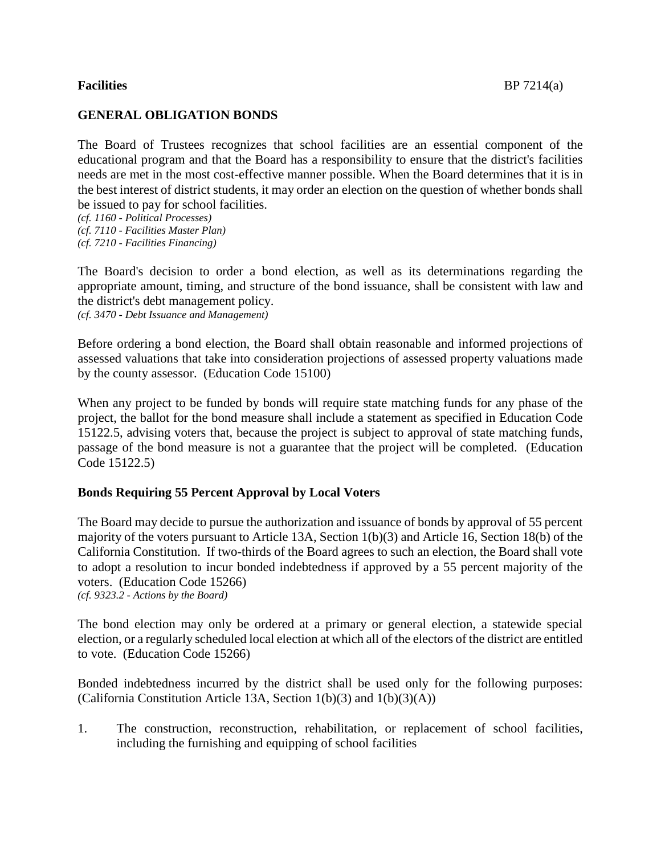# **GENERAL OBLIGATION BONDS**

The Board of Trustees recognizes that school facilities are an essential component of the educational program and that the Board has a responsibility to ensure that the district's facilities needs are met in the most cost-effective manner possible. When the Board determines that it is in the best interest of district students, it may order an election on the question of whether bonds shall be issued to pay for school facilities.

*(cf. 7210 - Facilities Financing)*

The Board's decision to order a bond election, as well as its determinations regarding the appropriate amount, timing, and structure of the bond issuance, shall be consistent with law and the district's debt management policy. *(cf. 3470 - Debt Issuance and Management)*

Before ordering a bond election, the Board shall obtain reasonable and informed projections of assessed valuations that take into consideration projections of assessed property valuations made by the county assessor. (Education Code 15100)

When any project to be funded by bonds will require state matching funds for any phase of the project, the ballot for the bond measure shall include a statement as specified in Education Code 15122.5, advising voters that, because the project is subject to approval of state matching funds, passage of the bond measure is not a guarantee that the project will be completed. (Education Code 15122.5)

## **Bonds Requiring 55 Percent Approval by Local Voters**

The Board may decide to pursue the authorization and issuance of bonds by approval of 55 percent majority of the voters pursuant to Article 13A, Section 1(b)(3) and Article 16, Section 18(b) of the California Constitution. If two-thirds of the Board agrees to such an election, the Board shall vote to adopt a resolution to incur bonded indebtedness if approved by a 55 percent majority of the voters. (Education Code 15266) *(cf. 9323.2 - Actions by the Board)*

The bond election may only be ordered at a primary or general election, a statewide special election, or a regularly scheduled local election at which all of the electors of the district are entitled to vote. (Education Code 15266)

Bonded indebtedness incurred by the district shall be used only for the following purposes: (California Constitution Article 13A, Section  $1(b)(3)$  and  $1(b)(3)(A)$ )

1. The construction, reconstruction, rehabilitation, or replacement of school facilities, including the furnishing and equipping of school facilities

*<sup>(</sup>cf. 1160 - Political Processes)*

*<sup>(</sup>cf. 7110 - Facilities Master Plan)*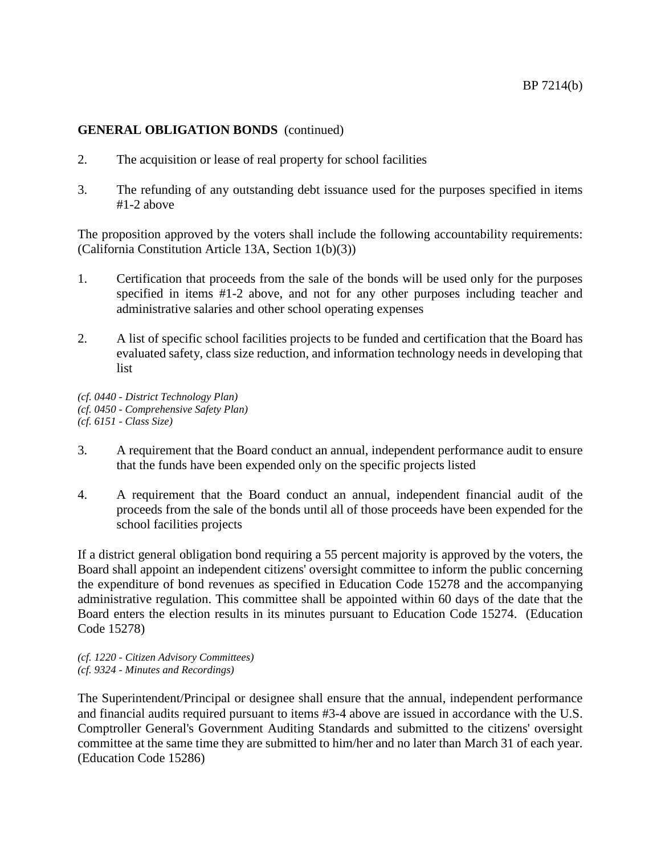- 2. The acquisition or lease of real property for school facilities
- 3. The refunding of any outstanding debt issuance used for the purposes specified in items #1-2 above

The proposition approved by the voters shall include the following accountability requirements: (California Constitution Article 13A, Section 1(b)(3))

- 1. Certification that proceeds from the sale of the bonds will be used only for the purposes specified in items #1-2 above, and not for any other purposes including teacher and administrative salaries and other school operating expenses
- 2. A list of specific school facilities projects to be funded and certification that the Board has evaluated safety, class size reduction, and information technology needs in developing that list

*(cf. 0440 - District Technology Plan) (cf. 0450 - Comprehensive Safety Plan) (cf. 6151 - Class Size)*

- 3. A requirement that the Board conduct an annual, independent performance audit to ensure that the funds have been expended only on the specific projects listed
- 4. A requirement that the Board conduct an annual, independent financial audit of the proceeds from the sale of the bonds until all of those proceeds have been expended for the school facilities projects

If a district general obligation bond requiring a 55 percent majority is approved by the voters, the Board shall appoint an independent citizens' oversight committee to inform the public concerning the expenditure of bond revenues as specified in Education Code 15278 and the accompanying administrative regulation. This committee shall be appointed within 60 days of the date that the Board enters the election results in its minutes pursuant to Education Code 15274. (Education Code 15278)

*(cf. 1220 - Citizen Advisory Committees) (cf. 9324 - Minutes and Recordings)*

The Superintendent/Principal or designee shall ensure that the annual, independent performance and financial audits required pursuant to items #3-4 above are issued in accordance with the U.S. Comptroller General's Government Auditing Standards and submitted to the citizens' oversight committee at the same time they are submitted to him/her and no later than March 31 of each year. (Education Code 15286)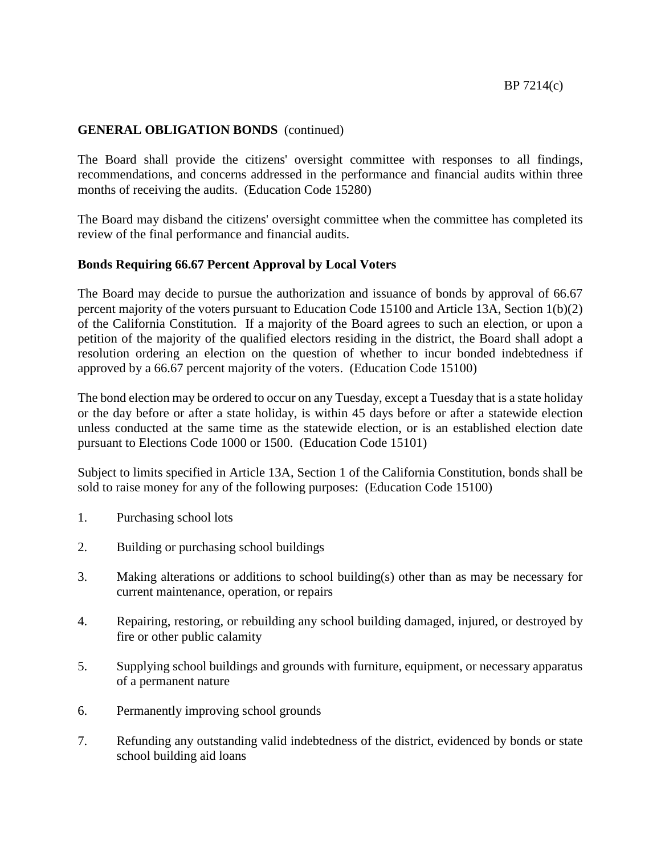The Board shall provide the citizens' oversight committee with responses to all findings, recommendations, and concerns addressed in the performance and financial audits within three months of receiving the audits. (Education Code 15280)

The Board may disband the citizens' oversight committee when the committee has completed its review of the final performance and financial audits.

## **Bonds Requiring 66.67 Percent Approval by Local Voters**

The Board may decide to pursue the authorization and issuance of bonds by approval of 66.67 percent majority of the voters pursuant to Education Code 15100 and Article 13A, Section 1(b)(2) of the California Constitution. If a majority of the Board agrees to such an election, or upon a petition of the majority of the qualified electors residing in the district, the Board shall adopt a resolution ordering an election on the question of whether to incur bonded indebtedness if approved by a 66.67 percent majority of the voters. (Education Code 15100)

The bond election may be ordered to occur on any Tuesday, except a Tuesday that is a state holiday or the day before or after a state holiday, is within 45 days before or after a statewide election unless conducted at the same time as the statewide election, or is an established election date pursuant to Elections Code 1000 or 1500. (Education Code 15101)

Subject to limits specified in Article 13A, Section 1 of the California Constitution, bonds shall be sold to raise money for any of the following purposes: (Education Code 15100)

- 1. Purchasing school lots
- 2. Building or purchasing school buildings
- 3. Making alterations or additions to school building(s) other than as may be necessary for current maintenance, operation, or repairs
- 4. Repairing, restoring, or rebuilding any school building damaged, injured, or destroyed by fire or other public calamity
- 5. Supplying school buildings and grounds with furniture, equipment, or necessary apparatus of a permanent nature
- 6. Permanently improving school grounds
- 7. Refunding any outstanding valid indebtedness of the district, evidenced by bonds or state school building aid loans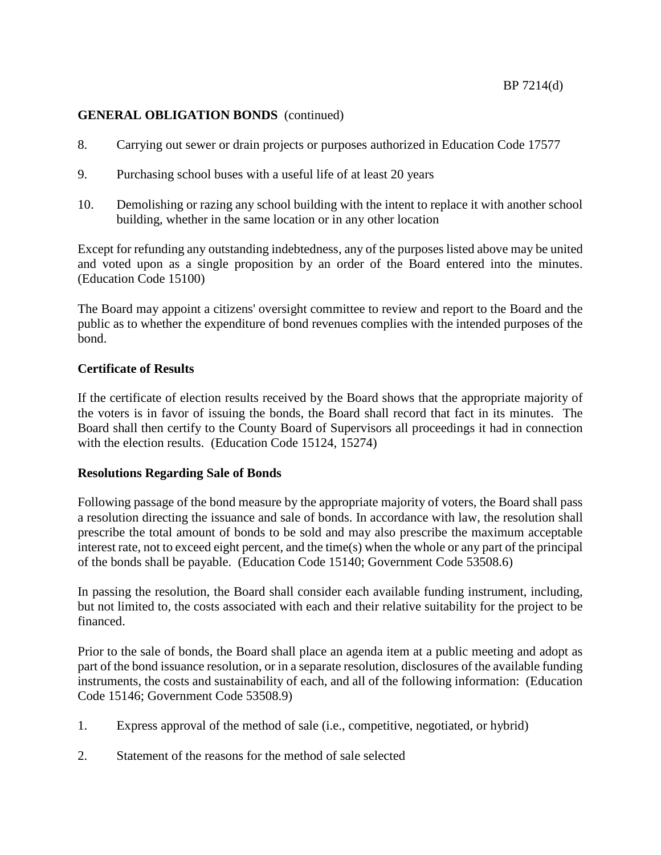- 8. Carrying out sewer or drain projects or purposes authorized in Education Code 17577
- 9. Purchasing school buses with a useful life of at least 20 years
- 10. Demolishing or razing any school building with the intent to replace it with another school building, whether in the same location or in any other location

Except for refunding any outstanding indebtedness, any of the purposes listed above may be united and voted upon as a single proposition by an order of the Board entered into the minutes. (Education Code 15100)

The Board may appoint a citizens' oversight committee to review and report to the Board and the public as to whether the expenditure of bond revenues complies with the intended purposes of the bond.

## **Certificate of Results**

If the certificate of election results received by the Board shows that the appropriate majority of the voters is in favor of issuing the bonds, the Board shall record that fact in its minutes. The Board shall then certify to the County Board of Supervisors all proceedings it had in connection with the election results. (Education Code 15124, 15274)

## **Resolutions Regarding Sale of Bonds**

Following passage of the bond measure by the appropriate majority of voters, the Board shall pass a resolution directing the issuance and sale of bonds. In accordance with law, the resolution shall prescribe the total amount of bonds to be sold and may also prescribe the maximum acceptable interest rate, not to exceed eight percent, and the time(s) when the whole or any part of the principal of the bonds shall be payable. (Education Code 15140; Government Code 53508.6)

In passing the resolution, the Board shall consider each available funding instrument, including, but not limited to, the costs associated with each and their relative suitability for the project to be financed.

Prior to the sale of bonds, the Board shall place an agenda item at a public meeting and adopt as part of the bond issuance resolution, or in a separate resolution, disclosures of the available funding instruments, the costs and sustainability of each, and all of the following information: (Education Code 15146; Government Code 53508.9)

- 1. Express approval of the method of sale (i.e., competitive, negotiated, or hybrid)
- 2. Statement of the reasons for the method of sale selected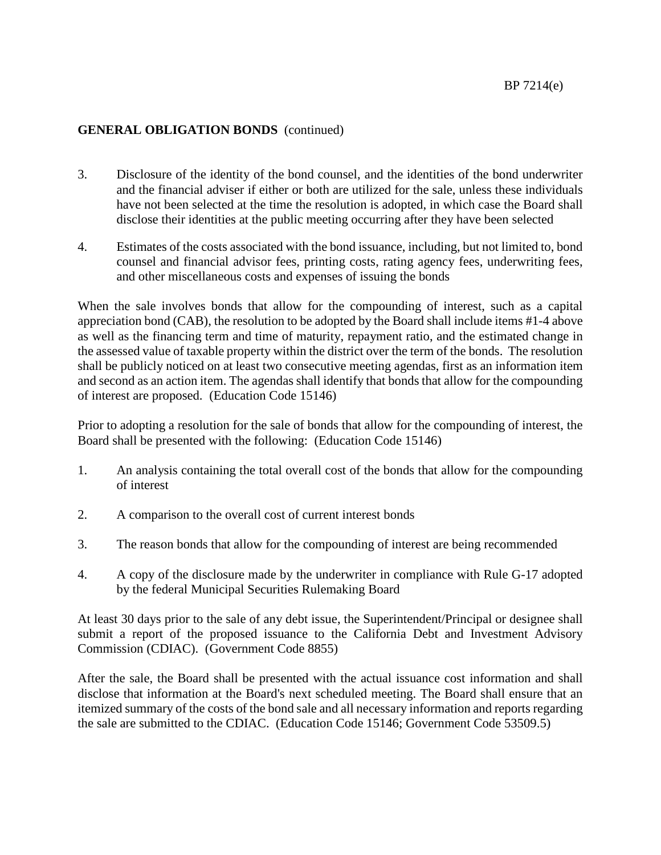- 3. Disclosure of the identity of the bond counsel, and the identities of the bond underwriter and the financial adviser if either or both are utilized for the sale, unless these individuals have not been selected at the time the resolution is adopted, in which case the Board shall disclose their identities at the public meeting occurring after they have been selected
- 4. Estimates of the costs associated with the bond issuance, including, but not limited to, bond counsel and financial advisor fees, printing costs, rating agency fees, underwriting fees, and other miscellaneous costs and expenses of issuing the bonds

When the sale involves bonds that allow for the compounding of interest, such as a capital appreciation bond (CAB), the resolution to be adopted by the Board shall include items #1-4 above as well as the financing term and time of maturity, repayment ratio, and the estimated change in the assessed value of taxable property within the district over the term of the bonds. The resolution shall be publicly noticed on at least two consecutive meeting agendas, first as an information item and second as an action item. The agendas shall identify that bonds that allow for the compounding of interest are proposed. (Education Code 15146)

Prior to adopting a resolution for the sale of bonds that allow for the compounding of interest, the Board shall be presented with the following: (Education Code 15146)

- 1. An analysis containing the total overall cost of the bonds that allow for the compounding of interest
- 2. A comparison to the overall cost of current interest bonds
- 3. The reason bonds that allow for the compounding of interest are being recommended
- 4. A copy of the disclosure made by the underwriter in compliance with Rule G-17 adopted by the federal Municipal Securities Rulemaking Board

At least 30 days prior to the sale of any debt issue, the Superintendent/Principal or designee shall submit a report of the proposed issuance to the California Debt and Investment Advisory Commission (CDIAC). (Government Code 8855)

After the sale, the Board shall be presented with the actual issuance cost information and shall disclose that information at the Board's next scheduled meeting. The Board shall ensure that an itemized summary of the costs of the bond sale and all necessary information and reports regarding the sale are submitted to the CDIAC. (Education Code 15146; Government Code 53509.5)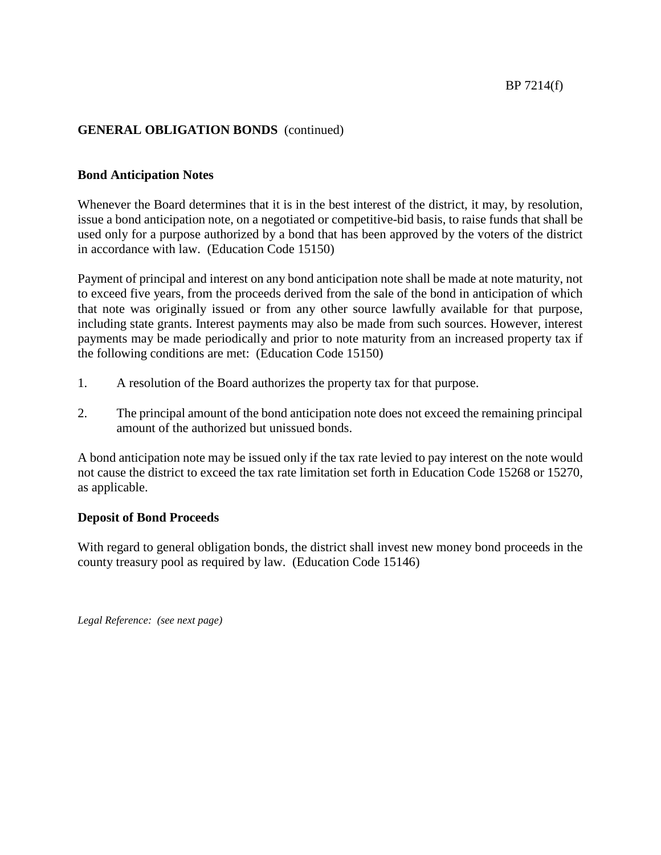## **Bond Anticipation Notes**

Whenever the Board determines that it is in the best interest of the district, it may, by resolution, issue a bond anticipation note, on a negotiated or competitive-bid basis, to raise funds that shall be used only for a purpose authorized by a bond that has been approved by the voters of the district in accordance with law. (Education Code 15150)

Payment of principal and interest on any bond anticipation note shall be made at note maturity, not to exceed five years, from the proceeds derived from the sale of the bond in anticipation of which that note was originally issued or from any other source lawfully available for that purpose, including state grants. Interest payments may also be made from such sources. However, interest payments may be made periodically and prior to note maturity from an increased property tax if the following conditions are met: (Education Code 15150)

- 1. A resolution of the Board authorizes the property tax for that purpose.
- 2. The principal amount of the bond anticipation note does not exceed the remaining principal amount of the authorized but unissued bonds.

A bond anticipation note may be issued only if the tax rate levied to pay interest on the note would not cause the district to exceed the tax rate limitation set forth in Education Code 15268 or 15270, as applicable.

### **Deposit of Bond Proceeds**

With regard to general obligation bonds, the district shall invest new money bond proceeds in the county treasury pool as required by law. (Education Code 15146)

*Legal Reference: (see next page)*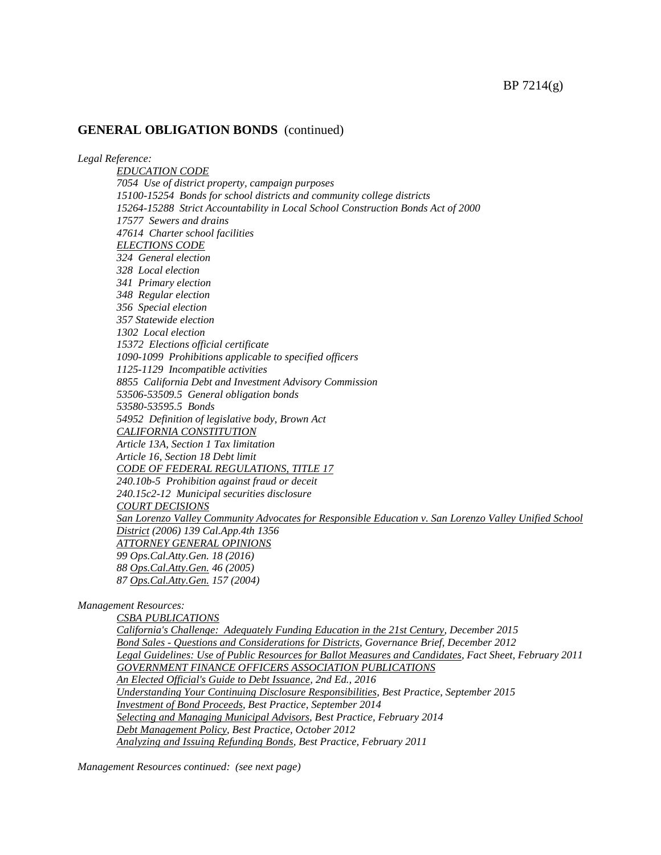*Legal Reference:*

*EDUCATION CODE 7054 Use of district property, campaign purposes 15100-15254 Bonds for school districts and community college districts 15264-15288 Strict Accountability in Local School Construction Bonds Act of 2000 17577 Sewers and drains 47614 Charter school facilities ELECTIONS CODE 324 General election 328 Local election 341 Primary election 348 Regular election 356 Special election 357 Statewide election 1302 Local election 15372 Elections official certificate 1090-1099 Prohibitions applicable to specified officers 1125-1129 Incompatible activities 8855 California Debt and Investment Advisory Commission 53506-53509.5 General obligation bonds 53580-53595.5 Bonds 54952 Definition of legislative body, Brown Act CALIFORNIA CONSTITUTION Article 13A, Section 1 Tax limitation Article 16, Section 18 Debt limit CODE OF FEDERAL REGULATIONS, TITLE 17 240.10b-5 Prohibition against fraud or deceit 240.15c2-12 Municipal securities disclosure COURT DECISIONS San Lorenzo Valley Community Advocates for Responsible Education v. San Lorenzo Valley Unified School District (2006) 139 Cal.App.4th 1356 ATTORNEY GENERAL OPINIONS 99 Ops.Cal.Atty.Gen. 18 (2016) 88 Ops.Cal.Atty.Gen. 46 (2005) 87 Ops.Cal.Atty.Gen. 157 (2004)*

*Management Resources:*

*CSBA PUBLICATIONS California's Challenge: Adequately Funding Education in the 21st Century, December 2015 Bond Sales - Questions and Considerations for Districts, Governance Brief, December 2012 Legal Guidelines: Use of Public Resources for Ballot Measures and Candidates, Fact Sheet, February 2011 GOVERNMENT FINANCE OFFICERS ASSOCIATION PUBLICATIONS An Elected Official's Guide to Debt Issuance, 2nd Ed., 2016 Understanding Your Continuing Disclosure Responsibilities, Best Practice, September 2015 Investment of Bond Proceeds, Best Practice, September 2014 Selecting and Managing Municipal Advisors, Best Practice, February 2014 Debt Management Policy, Best Practice, October 2012 Analyzing and Issuing Refunding Bonds, Best Practice, February 2011*

*Management Resources continued: (see next page)*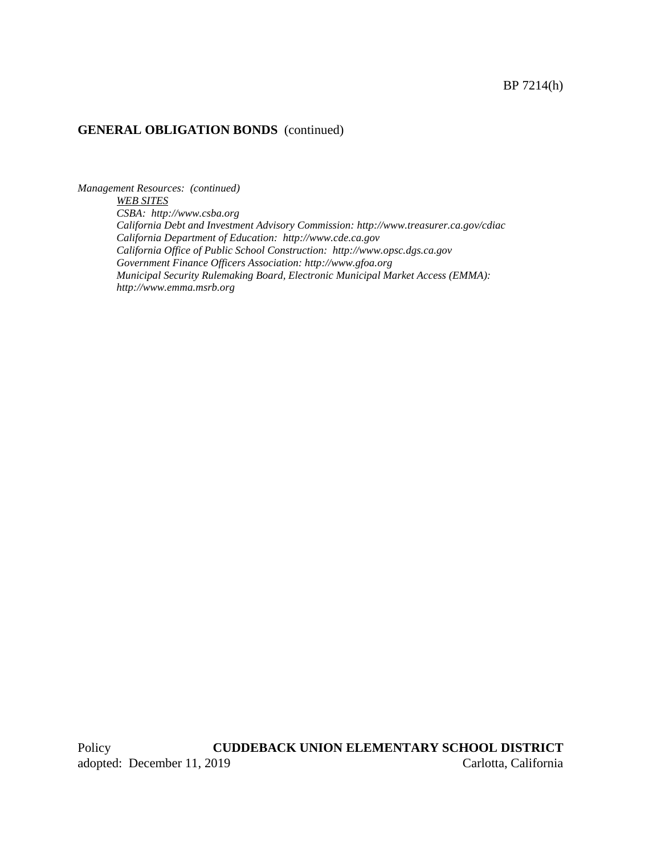*Management Resources: (continued) WEB SITES CSBA: http://www.csba.org California Debt and Investment Advisory Commission: http://www.treasurer.ca.gov/cdiac California Department of Education: http://www.cde.ca.gov California Office of Public School Construction: http://www.opsc.dgs.ca.gov Government Finance Officers Association: [http://www.gfoa.org](http://www.gfoa.org/) Municipal Security Rulemaking Board, Electronic Municipal Market Access (EMMA): http:/[/www.emma.msrb.org](http://www.emma.msrb.org/)*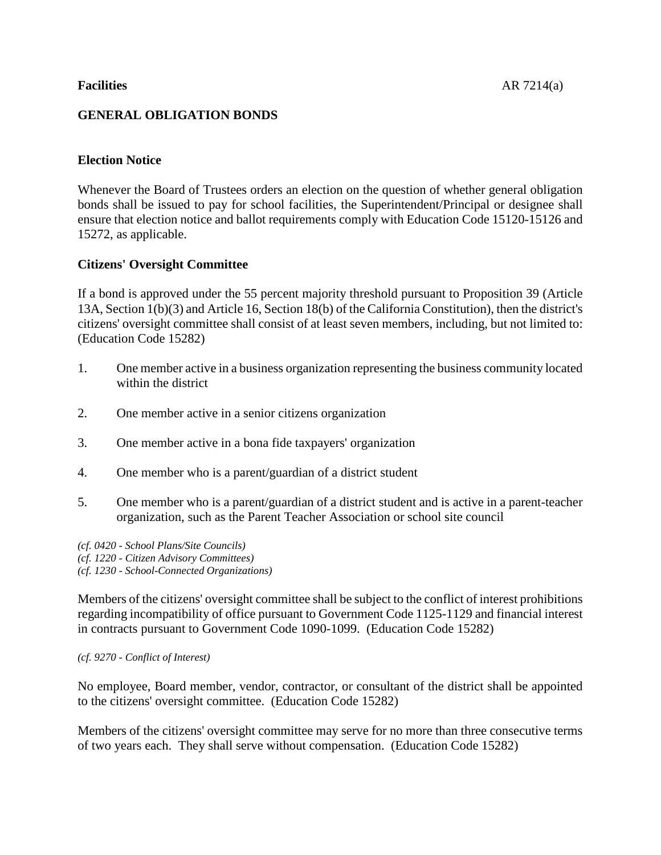# **GENERAL OBLIGATION BONDS**

# **Election Notice**

Whenever the Board of Trustees orders an election on the question of whether general obligation bonds shall be issued to pay for school facilities, the Superintendent/Principal or designee shall ensure that election notice and ballot requirements comply with Education Code 15120-15126 and 15272, as applicable.

## **Citizens' Oversight Committee**

If a bond is approved under the 55 percent majority threshold pursuant to Proposition 39 (Article 13A, Section 1(b)(3) and Article 16, Section 18(b) of the California Constitution), then the district's citizens' oversight committee shall consist of at least seven members, including, but not limited to: (Education Code 15282)

- 1. One member active in a business organization representing the business community located within the district
- 2. One member active in a senior citizens organization
- 3. One member active in a bona fide taxpayers' organization
- 4. One member who is a parent/guardian of a district student
- 5. One member who is a parent/guardian of a district student and is active in a parent-teacher organization, such as the Parent Teacher Association or school site council

*(cf. 0420 - School Plans/Site Councils) (cf. 1220 - Citizen Advisory Committees) (cf. 1230 - School-Connected Organizations)*

Members of the citizens' oversight committee shall be subject to the conflict of interest prohibitions regarding incompatibility of office pursuant to Government Code 1125-1129 and financial interest in contracts pursuant to Government Code 1090-1099. (Education Code 15282)

### *(cf. 9270 - Conflict of Interest)*

No employee, Board member, vendor, contractor, or consultant of the district shall be appointed to the citizens' oversight committee. (Education Code 15282)

Members of the citizens' oversight committee may serve for no more than three consecutive terms of two years each. They shall serve without compensation. (Education Code 15282)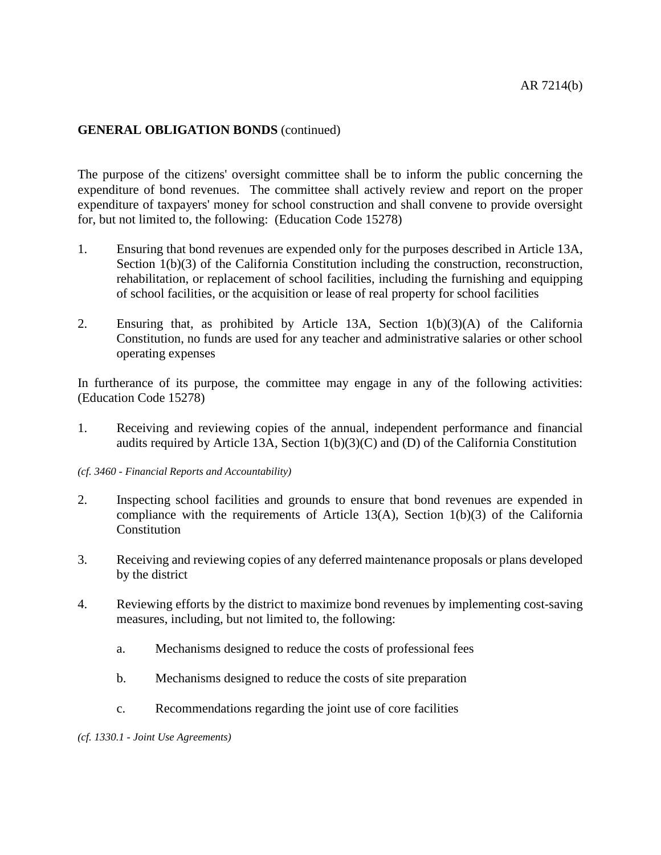The purpose of the citizens' oversight committee shall be to inform the public concerning the expenditure of bond revenues. The committee shall actively review and report on the proper expenditure of taxpayers' money for school construction and shall convene to provide oversight for, but not limited to, the following: (Education Code 15278)

- 1. Ensuring that bond revenues are expended only for the purposes described in Article 13A, Section 1(b)(3) of the California Constitution including the construction, reconstruction, rehabilitation, or replacement of school facilities, including the furnishing and equipping of school facilities, or the acquisition or lease of real property for school facilities
- 2. Ensuring that, as prohibited by Article 13A, Section 1(b)(3)(A) of the California Constitution, no funds are used for any teacher and administrative salaries or other school operating expenses

In furtherance of its purpose, the committee may engage in any of the following activities: (Education Code 15278)

- 1. Receiving and reviewing copies of the annual, independent performance and financial audits required by Article 13A, Section 1(b)(3)(C) and (D) of the California Constitution
- *(cf. 3460 - Financial Reports and Accountability)*
- 2. Inspecting school facilities and grounds to ensure that bond revenues are expended in compliance with the requirements of Article 13(A), Section  $1(b)(3)$  of the California **Constitution**
- 3. Receiving and reviewing copies of any deferred maintenance proposals or plans developed by the district
- 4. Reviewing efforts by the district to maximize bond revenues by implementing cost-saving measures, including, but not limited to, the following:
	- a. Mechanisms designed to reduce the costs of professional fees
	- b. Mechanisms designed to reduce the costs of site preparation
	- c. Recommendations regarding the joint use of core facilities

*(cf. 1330.1 - Joint Use Agreements)*